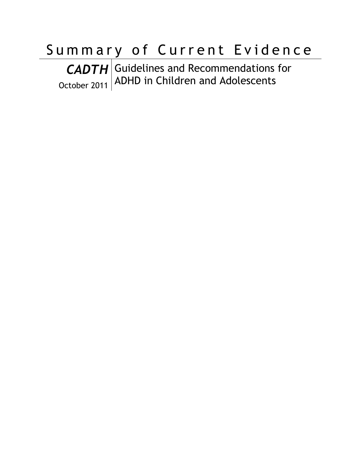# Summary of Current Evidence

*CADTH* October 2011 Guidelines and Recommendations for ADHD in Children and Adolescents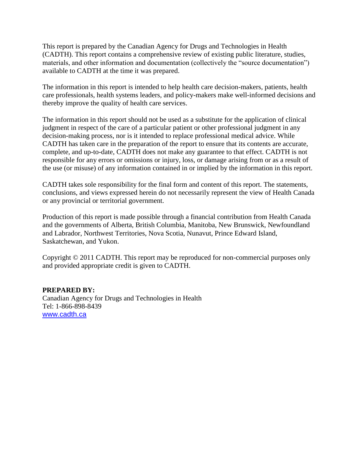This report is prepared by the Canadian Agency for Drugs and Technologies in Health (CADTH). This report contains a comprehensive review of existing public literature, studies, materials, and other information and documentation (collectively the "source documentation") available to CADTH at the time it was prepared.

The information in this report is intended to help health care decision-makers, patients, health care professionals, health systems leaders, and policy-makers make well-informed decisions and thereby improve the quality of health care services.

The information in this report should not be used as a substitute for the application of clinical judgment in respect of the care of a particular patient or other professional judgment in any decision-making process, nor is it intended to replace professional medical advice. While CADTH has taken care in the preparation of the report to ensure that its contents are accurate, complete, and up-to-date, CADTH does not make any guarantee to that effect. CADTH is not responsible for any errors or omissions or injury, loss, or damage arising from or as a result of the use (or misuse) of any information contained in or implied by the information in this report.

CADTH takes sole responsibility for the final form and content of this report. The statements, conclusions, and views expressed herein do not necessarily represent the view of Health Canada or any provincial or territorial government.

Production of this report is made possible through a financial contribution from Health Canada and the governments of Alberta, British Columbia, Manitoba, New Brunswick, Newfoundland and Labrador, Northwest Territories, Nova Scotia, Nunavut, Prince Edward Island, Saskatchewan, and Yukon.

Copyright © 2011 CADTH. This report may be reproduced for non-commercial purposes only and provided appropriate credit is given to CADTH.

#### **PREPARED BY:**

Canadian Agency for Drugs and Technologies in Health Tel: 1-866-898-8439 [www.cadth.ca](http://www.cadth.ca/)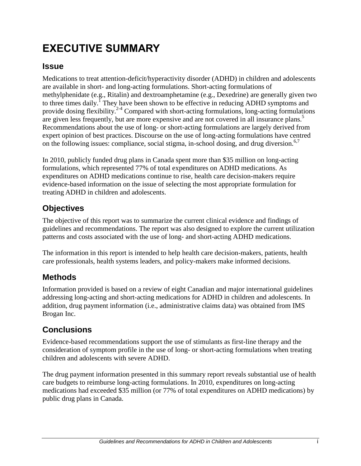## <span id="page-2-0"></span>**EXECUTIVE SUMMARY**

#### **Issue**

Medications to treat attention-deficit/hyperactivity disorder (ADHD) in children and adolescents are available in short- and long-acting formulations. Short-acting formulations of methylphenidate (e.g., Ritalin) and dextroamphetamine (e.g., Dexedrine) are generally given two to three times daily.<sup>1</sup> They have been shown to be effective in reducing ADHD symptoms and provide dosing flexibility.<sup>2-4</sup> Compared with short-acting formulations, long-acting formulations are given less frequently, but are more expensive and are not covered in all insurance plans.<sup>5</sup> Recommendations about the use of long- or short-acting formulations are largely derived from expert opinion of best practices. Discourse on the use of long-acting formulations have centred on the following issues: compliance, social stigma, in-school dosing, and drug diversion.<sup>6,7</sup>

In 2010, publicly funded drug plans in Canada spent more than \$35 million on long-acting formulations, which represented 77% of total expenditures on ADHD medications. As expenditures on ADHD medications continue to rise, health care decision-makers require evidence-based information on the issue of selecting the most appropriate formulation for treating ADHD in children and adolescents.

### **Objectives**

The objective of this report was to summarize the current clinical evidence and findings of guidelines and recommendations. The report was also designed to explore the current utilization patterns and costs associated with the use of long- and short-acting ADHD medications.

The information in this report is intended to help health care decision-makers, patients, health care professionals, health systems leaders, and policy-makers make informed decisions.

### **Methods**

Information provided is based on a review of eight Canadian and major international guidelines addressing long-acting and short-acting medications for ADHD in children and adolescents. In addition, drug payment information (i.e., administrative claims data) was obtained from IMS Brogan Inc.

### **Conclusions**

Evidence-based recommendations support the use of stimulants as first-line therapy and the consideration of symptom profile in the use of long- or short-acting formulations when treating children and adolescents with severe ADHD.

The drug payment information presented in this summary report reveals substantial use of health care budgets to reimburse long-acting formulations. In 2010, expenditures on long-acting medications had exceeded \$35 million (or 77% of total expenditures on ADHD medications) by public drug plans in Canada.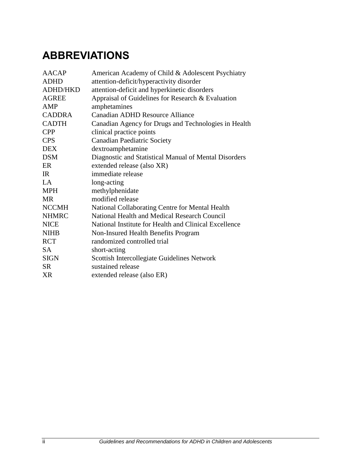## <span id="page-3-0"></span>**ABBREVIATIONS**

| <b>AACAP</b>    | American Academy of Child & Adolescent Psychiatry     |
|-----------------|-------------------------------------------------------|
| <b>ADHD</b>     | attention-deficit/hyperactivity disorder              |
| <b>ADHD/HKD</b> | attention-deficit and hyperkinetic disorders          |
| <b>AGREE</b>    | Appraisal of Guidelines for Research & Evaluation     |
| AMP             | amphetamines                                          |
| <b>CADDRA</b>   | Canadian ADHD Resource Alliance                       |
| <b>CADTH</b>    | Canadian Agency for Drugs and Technologies in Health  |
| <b>CPP</b>      | clinical practice points                              |
| <b>CPS</b>      | <b>Canadian Paediatric Society</b>                    |
| <b>DEX</b>      | dextroamphetamine                                     |
| <b>DSM</b>      | Diagnostic and Statistical Manual of Mental Disorders |
| ER              | extended release (also XR)                            |
| IR              | immediate release                                     |
| LA              | long-acting                                           |
| <b>MPH</b>      | methylphenidate                                       |
| <b>MR</b>       | modified release                                      |
| <b>NCCMH</b>    | National Collaborating Centre for Mental Health       |
| <b>NHMRC</b>    | National Health and Medical Research Council          |
| <b>NICE</b>     | National Institute for Health and Clinical Excellence |
| <b>NIHB</b>     | Non-Insured Health Benefits Program                   |
| <b>RCT</b>      | randomized controlled trial                           |
| <b>SA</b>       | short-acting                                          |
| <b>SIGN</b>     | Scottish Intercollegiate Guidelines Network           |
| <b>SR</b>       | sustained release                                     |
| XR              | extended release (also ER)                            |
|                 |                                                       |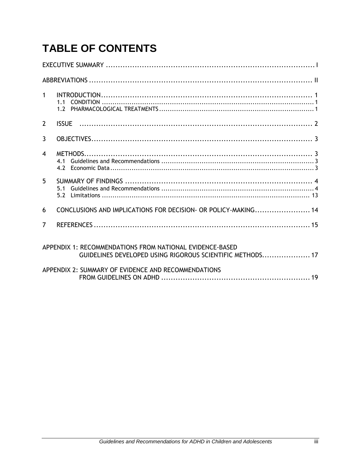## **TABLE OF CONTENTS**

| $\mathbf{1}$            |                                                                                                                       |  |  |
|-------------------------|-----------------------------------------------------------------------------------------------------------------------|--|--|
| $\mathbf{2}$            |                                                                                                                       |  |  |
| $\mathbf{3}$            |                                                                                                                       |  |  |
| $\overline{\mathbf{4}}$ |                                                                                                                       |  |  |
| 5                       | 5.1                                                                                                                   |  |  |
| 6                       | CONCLUSIONS AND IMPLICATIONS FOR DECISION- OR POLICY-MAKING 14                                                        |  |  |
| $\overline{7}$          |                                                                                                                       |  |  |
|                         | APPENDIX 1: RECOMMENDATIONS FROM NATIONAL EVIDENCE-BASED<br>GUIDELINES DEVELOPED USING RIGOROUS SCIENTIFIC METHODS 17 |  |  |
|                         | APPENDIX 2: SUMMARY OF EVIDENCE AND RECOMMENDATIONS                                                                   |  |  |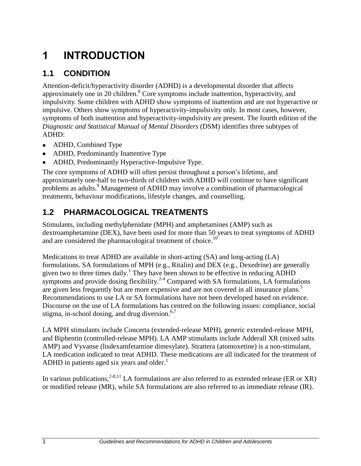## <span id="page-5-0"></span>**1 INTRODUCTION**

### <span id="page-5-1"></span>**1.1 CONDITION**

Attention-deficit/hyperactivity disorder (ADHD) is a developmental disorder that affects approximately one in 20 children.<sup>8</sup> Core symptoms include inattention, hyperactivity, and impulsivity. Some children with ADHD show symptoms of inattention and are not hyperactive or impulsive. Others show symptoms of hyperactivity-impulsivity only. In most cases, however, symptoms of both inattention and hyperactivity-impulsivity are present. The fourth edition of the *Diagnostic and Statistical Manual of Mental Disorders* (DSM) identifies three subtypes of ADHD:

- ADHD, Combined Type
- ADHD, Predominantly Inattentive Type
- ADHD, Predominantly Hyperactive-Impulsive Type.

The core symptoms of ADHD will often persist throughout a person's lifetime, and approximately one-half to two-thirds of children with ADHD will continue to have significant problems as adults.<sup>9</sup> Management of ADHD may involve a combination of pharmacological treatments, behaviour modifications, lifestyle changes, and counselling.

### <span id="page-5-2"></span>**1.2 PHARMACOLOGICAL TREATMENTS**

Stimulants, including methylphenidate (MPH) and amphetamines (AMP) such as dextroamphetamine (DEX), have been used for more than 50 years to treat symptoms of ADHD and are considered the pharmacological treatment of choice.<sup>10</sup>

Medications to treat ADHD are available in short-acting (SA) and long-acting (LA) formulations. SA formulations of MPH (e.g., Ritalin) and DEX (e.g., Dexedrine) are generally given two to three times daily.<sup>1</sup> They have been shown to be effective in reducing ADHD symptoms and provide dosing flexibility.<sup>2-4</sup> Compared with SA formulations, LA formulations are given less frequently but are more expensive and are not covered in all insurance plans.<sup>5</sup> Recommendations to use LA or SA formulations have not been developed based on evidence. Discourse on the use of LA formulations has centred on the following issues: compliance, social stigma, in-school dosing, and drug diversion.<sup>6,7</sup>

LA MPH stimulants include Concerta (extended-release MPH), generic extended-release MPH, and Biphentin (controlled-release MPH). LA AMP stimulants include Adderall XR (mixed salts AMP) and Vyvanse (lisdexamfetamine dimesylate). Strattera (atomoxetine) is a non-stimulant, LA medication indicated to treat ADHD. These medications are all indicated for the treatment of ADHD in patients aged six years and older. $<sup>1</sup>$ </sup>

In various publications,  $2-8,11$  LA formulations are also referred to as extended release (ER or XR) or modified release (MR), while SA formulations are also referred to as immediate release (IR).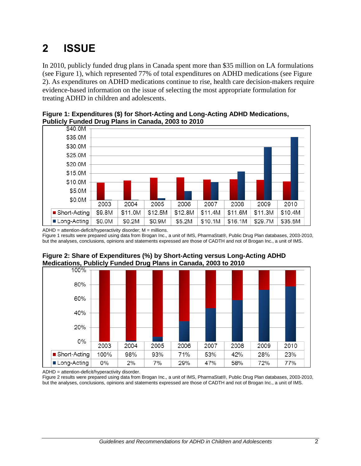## <span id="page-6-0"></span>**2 ISSUE**

In 2010, publicly funded drug plans in Canada spent more than \$35 million on LA formulations (see Figure 1), which represented 77% of total expenditures on ADHD medications (see Figure 2). As expenditures on ADHD medications continue to rise, health care decision-makers require evidence-based information on the issue of selecting the most appropriate formulation for treating ADHD in children and adolescents.





 $ADHD = attention-deficit/hyperactivity disorder; M = millions.$ 

Figure 1 results were prepared using data from Brogan Inc., a unit of IMS, PharmaStat®, Public Drug Plan databases, 2003-2010, but the analyses, conclusions, opinions and statements expressed are those of CADTH and not of Brogan Inc., a unit of IMS.



## **Figure 2: Share of Expenditures (%) by Short-Acting versus Long-Acting ADHD**

ADHD = attention-deficit/hyperactivity disorder.

Figure 2 results were prepared using data from Brogan Inc., a unit of IMS, PharmaStat®, Public Drug Plan databases, 2003-2010, but the analyses, conclusions, opinions and statements expressed are those of CADTH and not of Brogan Inc., a unit of IMS.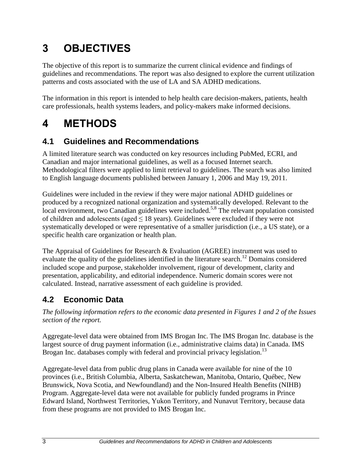## <span id="page-7-0"></span>**3 OBJECTIVES**

The objective of this report is to summarize the current clinical evidence and findings of guidelines and recommendations. The report was also designed to explore the current utilization patterns and costs associated with the use of LA and SA ADHD medications.

The information in this report is intended to help health care decision-makers, patients, health care professionals, health systems leaders, and policy-makers make informed decisions.

## <span id="page-7-1"></span>**4 METHODS**

### <span id="page-7-2"></span>**4.1 Guidelines and Recommendations**

A limited literature search was conducted on key resources including PubMed, ECRI, and Canadian and major international guidelines, as well as a focused Internet search. Methodological filters were applied to limit retrieval to guidelines. The search was also limited to English language documents published between January 1, 2006 and May 19, 2011.

Guidelines were included in the review if they were major national ADHD guidelines or produced by a recognized national organization and systematically developed. Relevant to the local environment, two Canadian guidelines were included.<sup>5,8</sup> The relevant population consisted of children and adolescents (aged  $\leq 18$  years). Guidelines were excluded if they were not systematically developed or were representative of a smaller jurisdiction (i.e., a US state), or a specific health care organization or health plan.

The Appraisal of Guidelines for Research & Evaluation (AGREE) instrument was used to evaluate the quality of the guidelines identified in the literature search.<sup>12</sup> Domains considered included scope and purpose, stakeholder involvement, rigour of development, clarity and presentation, applicability, and editorial independence. Numeric domain scores were not calculated. Instead, narrative assessment of each guideline is provided.

### <span id="page-7-3"></span>**4.2 Economic Data**

*The following information refers to the economic data presented in Figures 1 and 2 of the Issues section of the report.*

Aggregate-level data were obtained from IMS Brogan Inc. The IMS Brogan Inc. database is the largest source of drug payment information (i.e., administrative claims data) in Canada. IMS Brogan Inc. databases comply with federal and provincial privacy legislation.<sup>13</sup>

Aggregate-level data from public drug plans in Canada were available for nine of the 10 provinces (i.e., British Columbia, Alberta, Saskatchewan, Manitoba, Ontario, Québec, New Brunswick, Nova Scotia, and Newfoundland) and the Non-Insured Health Benefits (NIHB) Program. Aggregate-level data were not available for publicly funded programs in Prince Edward Island, Northwest Territories, Yukon Territory, and Nunavut Territory, because data from these programs are not provided to IMS Brogan Inc.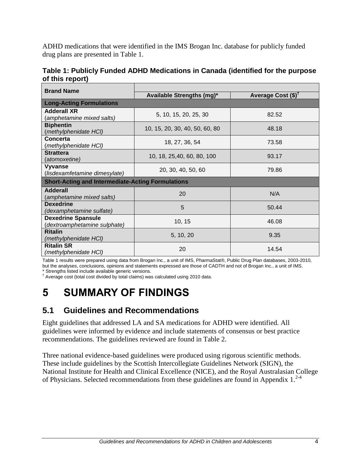ADHD medications that were identified in the IMS Brogan Inc. database for publicly funded drug plans are presented in Table 1.

**Table 1: Publicly Funded ADHD Medications in Canada (identified for the purpose of this report)**

| <b>Brand Name</b>                                        |                                |                       |  |
|----------------------------------------------------------|--------------------------------|-----------------------|--|
|                                                          | Available Strengths (mg)*      | Average Cost $(\$)^T$ |  |
| <b>Long-Acting Formulations</b>                          |                                |                       |  |
| <b>Adderall XR</b>                                       | 5, 10, 15, 20, 25, 30          | 82.52                 |  |
| (amphetamine mixed salts)                                |                                |                       |  |
| <b>Biphentin</b>                                         | 10, 15, 20, 30, 40, 50, 60, 80 | 48.18                 |  |
| (methylphenidate HCI)                                    |                                |                       |  |
| <b>Concerta</b>                                          | 18, 27, 36, 54                 | 73.58                 |  |
| (methylphenidate HCI)                                    |                                |                       |  |
| <b>Strattera</b>                                         | 10, 18, 25,40, 60, 80, 100     | 93.17                 |  |
| (a <i>tomoxetine)</i>                                    |                                |                       |  |
| <b>Vyvanse</b>                                           | 20, 30, 40, 50, 60             | 79.86                 |  |
| (lisdexamfetamine dimesylate)                            |                                |                       |  |
| <b>Short-Acting and Intermediate-Acting Formulations</b> |                                |                       |  |
| <b>Adderall</b>                                          | 20                             | N/A                   |  |
| (amphetamine mixed salts)                                |                                |                       |  |
| <b>Dexedrine</b>                                         | 5                              | 50.44                 |  |
| (dexamphetamine sulfate)                                 |                                |                       |  |
| <b>Dexedrine Spansule</b>                                | 10, 15                         | 46.08                 |  |
| (dextroamphetamine sulphate)                             |                                |                       |  |
| <b>Ritalin</b>                                           | 5, 10, 20                      | 9.35                  |  |
| (methylphenidate HCI)                                    |                                |                       |  |
| <b>Ritalin SR</b>                                        | 20                             | 14.54                 |  |
| (methylphenidate HCI)                                    |                                |                       |  |

Table 1 results were prepared using data from Brogan Inc., a unit of IMS, PharmaStat®, Public Drug Plan databases, 2003-2010, but the analyses, conclusions, opinions and statements expressed are those of CADTH and not of Brogan Inc., a unit of IMS. \* Strengths listed include available generic versions.

† Average cost (total cost divided by total claims) was calculated using 2010 data.

## <span id="page-8-0"></span>**5 SUMMARY OF FINDINGS**

### <span id="page-8-1"></span>**5.1 Guidelines and Recommendations**

Eight guidelines that addressed LA and SA medications for ADHD were identified. All guidelines were informed by evidence and include statements of consensus or best practice recommendations. The guidelines reviewed are found in Table 2.

Three national evidence-based guidelines were produced using rigorous scientific methods. These include guidelines by the Scottish Intercollegiate Guidelines Network (SIGN), the National Institute for Health and Clinical Excellence (NICE), and the Royal Australasian College of Physicians. Selected recommendations from these guidelines are found in Appendix  $1.^{2-4}$ .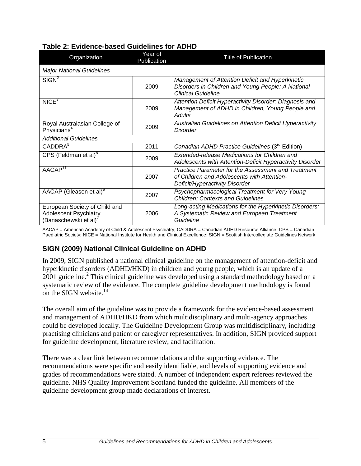| Organization                                                                          | Year of<br>Publication | <b>Title of Publication</b>                                                                                                          |
|---------------------------------------------------------------------------------------|------------------------|--------------------------------------------------------------------------------------------------------------------------------------|
| <b>Major National Guidelines</b>                                                      |                        |                                                                                                                                      |
| SIGN <sup>2</sup>                                                                     | 2009                   | Management of Attention Deficit and Hyperkinetic<br>Disorders in Children and Young People: A National<br><b>Clinical Guideline</b>  |
| NICE <sup>3</sup>                                                                     | 2009                   | Attention Deficit Hyperactivity Disorder: Diagnosis and<br>Management of ADHD in Children, Young People and<br>Adults                |
| Royal Australasian College of<br>Physicians <sup>4</sup>                              | 2009                   | <b>Australian Guidelines on Attention Deficit Hyperactivity</b><br>Disorder                                                          |
| <b>Additional Guidelines</b>                                                          |                        |                                                                                                                                      |
| CADDRA <sup>5</sup>                                                                   | 2011                   | Canadian ADHD Practice Guidelines (3 <sup>rd</sup> Edition)                                                                          |
| CPS (Feldman et al) <sup>8</sup>                                                      | 2009                   | Extended-release Medications for Children and<br>Adolescents with Attention-Deficit Hyperactivity Disorder                           |
| AACAP <sup>11</sup>                                                                   | 2007                   | Practice Parameter for the Assessment and Treatment<br>of Children and Adolescents with Attention-<br>Deficit/Hyperactivity Disorder |
| AACAP (Gleason et al) <sup>6</sup>                                                    | 2007                   | Psychopharmacological Treatment for Very Young<br><b>Children: Contexts and Guidelines</b>                                           |
| European Society of Child and<br><b>Adolescent Psychiatry</b><br>(Banaschewski et al) | 2006                   | Long-acting Medications for the Hyperkinetic Disorders:<br>A Systematic Review and European Treatment<br>Guideline                   |

#### **Table 2: Evidence-based Guidelines for ADHD**

AACAP = American Academy of Child & Adolescent Psychiatry; CADDRA = Canadian ADHD Resource Alliance; CPS = Canadian Paediatric Society; NICE = National Institute for Health and Clinical Excellence; SIGN = Scottish Intercollegiate Guidelines Network

### **SIGN (2009) National Clinical Guideline on ADHD**

In 2009, SIGN published a national clinical guideline on the management of attention-deficit and hyperkinetic disorders (ADHD/HKD) in children and young people, which is an update of a  $2001$  guideline.<sup>2</sup> This clinical guideline was developed using a standard methodology based on a systematic review of the evidence. The complete guideline development methodology is found on the SIGN website. $^{14}$ 

The overall aim of the guideline was to provide a framework for the evidence-based assessment and management of ADHD/HKD from which multidisciplinary and multi-agency approaches could be developed locally. The Guideline Development Group was multidisciplinary, including practising clinicians and patient or caregiver representatives. In addition, SIGN provided support for guideline development, literature review, and facilitation.

There was a clear link between recommendations and the supporting evidence. The recommendations were specific and easily identifiable, and levels of supporting evidence and grades of recommendations were stated. A number of independent expert referees reviewed the guideline. NHS Quality Improvement Scotland funded the guideline. All members of the guideline development group made declarations of interest.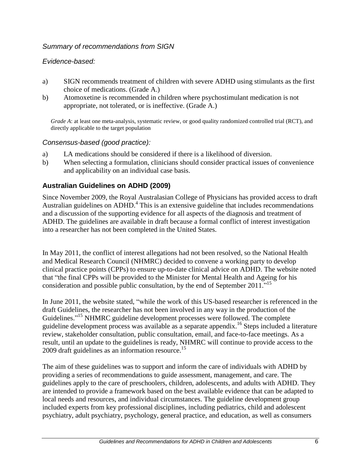#### *Summary of recommendations from SIGN*

#### *Evidence-based:*

- a) SIGN recommends treatment of children with severe ADHD using stimulants as the first choice of medications. (Grade A.)
- b) Atomoxetine is recommended in children where psychostimulant medication is not appropriate, not tolerated, or is ineffective. (Grade A.)

*Grade A*: at least one meta-analysis, systematic review, or good quality randomized controlled trial (RCT), and directly applicable to the target population

#### *Consensus-based (good practice):*

- a) LA medications should be considered if there is a likelihood of diversion.
- b) When selecting a formulation, clinicians should consider practical issues of convenience and applicability on an individual case basis.

#### **Australian Guidelines on ADHD (2009)**

Since November 2009, the Royal Australasian College of Physicians has provided access to draft Australian guidelines on ADHD.<sup>4</sup> This is an extensive guideline that includes recommendations and a discussion of the supporting evidence for all aspects of the diagnosis and treatment of ADHD. The guidelines are available in draft because a formal conflict of interest investigation into a researcher has not been completed in the United States.

In May 2011, the conflict of interest allegations had not been resolved, so the National Health and Medical Research Council (NHMRC) decided to convene a working party to develop clinical practice points (CPPs) to ensure up-to-date clinical advice on ADHD. The website noted that "the final CPPs will be provided to the Minister for Mental Health and Ageing for his consideration and possible public consultation, by the end of September 2011."<sup>15</sup>

In June 2011, the website stated, "while the work of this US-based researcher is referenced in the draft Guidelines, the researcher has not been involved in any way in the production of the Guidelines."<sup>15</sup> NHMRC guideline development processes were followed. The complete guideline development process was available as a separate appendix.<sup>16</sup> Steps included a literature review, stakeholder consultation, public consultation, email, and face-to-face meetings. As a result, until an update to the guidelines is ready, NHMRC will continue to provide access to the 2009 draft guidelines as an information resource.<sup>15</sup>

The aim of these guidelines was to support and inform the care of individuals with ADHD by providing a series of recommendations to guide assessment, management, and care. The guidelines apply to the care of preschoolers, children, adolescents, and adults with ADHD. They are intended to provide a framework based on the best available evidence that can be adapted to local needs and resources, and individual circumstances. The guideline development group included experts from key professional disciplines, including pediatrics, child and adolescent psychiatry, adult psychiatry, psychology, general practice, and education, as well as consumers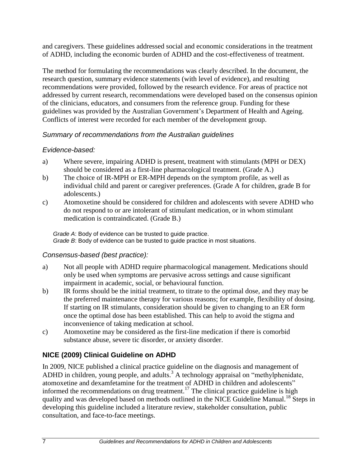and caregivers. These guidelines addressed social and economic considerations in the treatment of ADHD, including the economic burden of ADHD and the cost-effectiveness of treatment.

The method for formulating the recommendations was clearly described. In the document, the research question, summary evidence statements (with level of evidence), and resulting recommendations were provided, followed by the research evidence. For areas of practice not addressed by current research, recommendations were developed based on the consensus opinion of the clinicians, educators, and consumers from the reference group. Funding for these guidelines was provided by the Australian Government's Department of Health and Ageing. Conflicts of interest were recorded for each member of the development group.

#### *Summary of recommendations from the Australian guidelines*

### *Evidence-based:*

- a) Where severe, impairing ADHD is present, treatment with stimulants (MPH or DEX) should be considered as a first-line pharmacological treatment. (Grade A.)
- b) The choice of IR-MPH or ER-MPH depends on the symptom profile, as well as individual child and parent or caregiver preferences. (Grade A for children, grade B for adolescents.)
- c) Atomoxetine should be considered for children and adolescents with severe ADHD who do not respond to or are intolerant of stimulant medication, or in whom stimulant medication is contraindicated. (Grade B.)

*Grade A*: Body of evidence can be trusted to guide practice. *Grade B*: Body of evidence can be trusted to guide practice in most situations.

#### *Consensus-based (best practice):*

- a) Not all people with ADHD require pharmacological management. Medications should only be used when symptoms are pervasive across settings and cause significant impairment in academic, social, or behavioural function.
- b) IR forms should be the initial treatment, to titrate to the optimal dose, and they may be the preferred maintenance therapy for various reasons; for example, flexibility of dosing. If starting on IR stimulants, consideration should be given to changing to an ER form once the optimal dose has been established. This can help to avoid the stigma and inconvenience of taking medication at school.
- c) Atomoxetine may be considered as the first-line medication if there is comorbid substance abuse, severe tic disorder, or anxiety disorder.

### **NICE (2009) Clinical Guideline on ADHD**

In 2009, NICE published a clinical practice guideline on the diagnosis and management of ADHD in children, young people, and adults.<sup>3</sup> A technology appraisal on "methylphenidate, atomoxetine and dexamfetamine for the treatment of ADHD in children and adolescents" informed the recommendations on drug treatment.<sup>17</sup> The clinical practice guideline is high quality and was developed based on methods outlined in the NICE Guideline Manual.<sup>18</sup> Steps in developing this guideline included a literature review, stakeholder consultation, public consultation, and face-to-face meetings.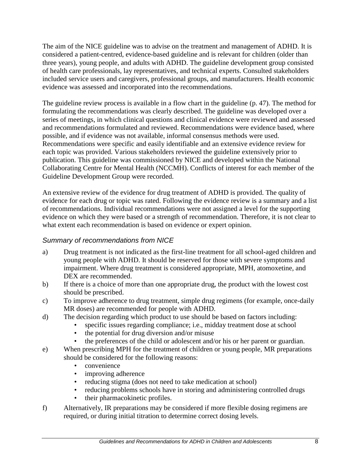The aim of the NICE guideline was to advise on the treatment and management of ADHD. It is considered a patient-centred, evidence-based guideline and is relevant for children (older than three years), young people, and adults with ADHD. The guideline development group consisted of health care professionals, lay representatives, and technical experts. Consulted stakeholders included service users and caregivers, professional groups, and manufacturers. Health economic evidence was assessed and incorporated into the recommendations.

The guideline review process is available in a flow chart in the guideline (p. 47). The method for formulating the recommendations was clearly described. The guideline was developed over a series of meetings, in which clinical questions and clinical evidence were reviewed and assessed and recommendations formulated and reviewed. Recommendations were evidence based, where possible, and if evidence was not available, informal consensus methods were used. Recommendations were specific and easily identifiable and an extensive evidence review for each topic was provided. Various stakeholders reviewed the guideline extensively prior to publication. This guideline was commissioned by NICE and developed within the National Collaborating Centre for Mental Health (NCCMH). Conflicts of interest for each member of the Guideline Development Group were recorded.

An extensive review of the evidence for drug treatment of ADHD is provided. The quality of evidence for each drug or topic was rated. Following the evidence review is a summary and a list of recommendations. Individual recommendations were not assigned a level for the supporting evidence on which they were based or a strength of recommendation. Therefore, it is not clear to what extent each recommendation is based on evidence or expert opinion.

#### *Summary of recommendations from NICE*

- a) Drug treatment is not indicated as the first-line treatment for all school-aged children and young people with ADHD. It should be reserved for those with severe symptoms and impairment. Where drug treatment is considered appropriate, MPH, atomoxetine, and DEX are recommended.
- b) If there is a choice of more than one appropriate drug, the product with the lowest cost should be prescribed.
- c) To improve adherence to drug treatment, simple drug regimens (for example, once-daily MR doses) are recommended for people with ADHD.
- d) The decision regarding which product to use should be based on factors including:
	- specific issues regarding compliance; i.e., midday treatment dose at school
		- the potential for drug diversion and/or misuse
		- the preferences of the child or adolescent and/or his or her parent or guardian.
- e) When prescribing MPH for the treatment of children or young people, MR preparations should be considered for the following reasons:
	- convenience
	- improving adherence
	- reducing stigma (does not need to take medication at school)
	- reducing problems schools have in storing and administering controlled drugs
	- their pharmacokinetic profiles.
- f) Alternatively, IR preparations may be considered if more flexible dosing regimens are required, or during initial titration to determine correct dosing levels.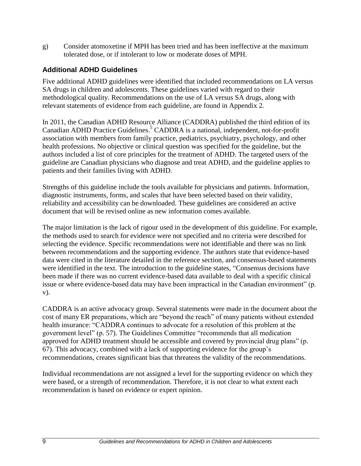g) Consider atomoxetine if MPH has been tried and has been ineffective at the maximum tolerated dose, or if intolerant to low or moderate doses of MPH.

#### **Additional ADHD Guidelines**

Five additional ADHD guidelines were identified that included recommendations on LA versus SA drugs in children and adolescents. These guidelines varied with regard to their methodological quality. Recommendations on the use of LA versus SA drugs, along with relevant statements of evidence from each guideline, are found in Appendix 2.

In 2011, the Canadian ADHD Resource Alliance (CADDRA) published the third edition of its Canadian ADHD Practice Guidelines. <sup>5</sup> CADDRA is a national, independent, not-for-profit association with members from family practice, pediatrics, psychiatry, psychology, and other health professions. No objective or clinical question was specified for the guideline, but the authors included a list of core principles for the treatment of ADHD. The targeted users of the guideline are Canadian physicians who diagnose and treat ADHD, and the guideline applies to patients and their families living with ADHD.

Strengths of this guideline include the tools available for physicians and patients. Information, diagnostic instruments, forms, and scales that have been selected based on their validity, reliability and accessibility can be downloaded. These guidelines are considered an active document that will be revised online as new information comes available.

The major limitation is the lack of rigour used in the development of this guideline. For example, the methods used to search for evidence were not specified and no criteria were described for selecting the evidence. Specific recommendations were not identifiable and there was no link between recommendations and the supporting evidence. The authors state that evidence-based data were cited in the literature detailed in the reference section, and consensus-based statements were identified in the text. The introduction to the guideline states, "Consensus decisions have been made if there was no current evidence-based data available to deal with a specific clinical issue or where evidence-based data may have been impractical in the Canadian environment" (p. v).

CADDRA is an active advocacy group. Several statements were made in the document about the cost of many ER preparations, which are "beyond the reach" of many patients without extended health insurance: "CADDRA continues to advocate for a resolution of this problem at the government level" (p. 57). The Guidelines Committee "recommends that all medication approved for ADHD treatment should be accessible and covered by provincial drug plans" (p. 67). This advocacy, combined with a lack of supporting evidence for the group's recommendations, creates significant bias that threatens the validity of the recommendations.

Individual recommendations are not assigned a level for the supporting evidence on which they were based, or a strength of recommendation. Therefore, it is not clear to what extent each recommendation is based on evidence or expert opinion.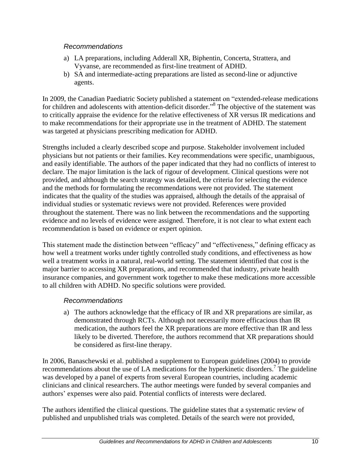#### *Recommendations*

- a) LA preparations, including Adderall XR, Biphentin, Concerta, Strattera, and Vyvanse, are recommended as first-line treatment of ADHD.
- b) SA and intermediate-acting preparations are listed as second-line or adjunctive agents.

In 2009, the Canadian Paediatric Society published a statement on "extended-release medications for children and adolescents with attention-deficit disorder."<sup>8</sup> The objective of the statement was to critically appraise the evidence for the relative effectiveness of XR versus IR medications and to make recommendations for their appropriate use in the treatment of ADHD. The statement was targeted at physicians prescribing medication for ADHD.

Strengths included a clearly described scope and purpose. Stakeholder involvement included physicians but not patients or their families. Key recommendations were specific, unambiguous, and easily identifiable. The authors of the paper indicated that they had no conflicts of interest to declare. The major limitation is the lack of rigour of development. Clinical questions were not provided, and although the search strategy was detailed, the criteria for selecting the evidence and the methods for formulating the recommendations were not provided. The statement indicates that the quality of the studies was appraised, although the details of the appraisal of individual studies or systematic reviews were not provided. References were provided throughout the statement. There was no link between the recommendations and the supporting evidence and no levels of evidence were assigned. Therefore, it is not clear to what extent each recommendation is based on evidence or expert opinion.

This statement made the distinction between "efficacy" and "effectiveness," defining efficacy as how well a treatment works under tightly controlled study conditions, and effectiveness as how well a treatment works in a natural, real-world setting. The statement identified that cost is the major barrier to accessing XR preparations, and recommended that industry, private health insurance companies, and government work together to make these medications more accessible to all children with ADHD. No specific solutions were provided.

#### *Recommendations*

a) The authors acknowledge that the efficacy of IR and XR preparations are similar, as demonstrated through RCTs. Although not necessarily more efficacious than IR medication, the authors feel the XR preparations are more effective than IR and less likely to be diverted. Therefore, the authors recommend that XR preparations should be considered as first-line therapy.

In 2006, Banaschewski et al. published a supplement to European guidelines (2004) to provide recommendations about the use of LA medications for the hyperkinetic disorders.<sup>7</sup> The guideline was developed by a panel of experts from several European countries, including academic clinicians and clinical researchers. The author meetings were funded by several companies and authors' expenses were also paid. Potential conflicts of interests were declared.

The authors identified the clinical questions. The guideline states that a systematic review of published and unpublished trials was completed. Details of the search were not provided,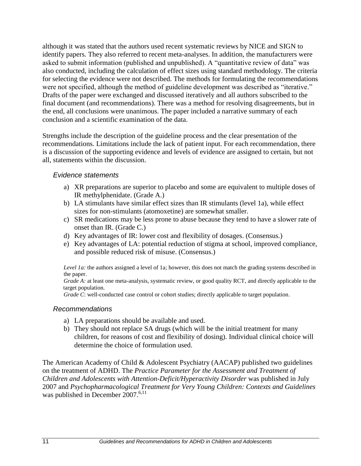although it was stated that the authors used recent systematic reviews by NICE and SIGN to identify papers. They also referred to recent meta-analyses. In addition, the manufacturers were asked to submit information (published and unpublished). A "quantitative review of data" was also conducted, including the calculation of effect sizes using standard methodology. The criteria for selecting the evidence were not described. The methods for formulating the recommendations were not specified, although the method of guideline development was described as "iterative." Drafts of the paper were exchanged and discussed iteratively and all authors subscribed to the final document (and recommendations). There was a method for resolving disagreements, but in the end, all conclusions were unanimous. The paper included a narrative summary of each conclusion and a scientific examination of the data.

Strengths include the description of the guideline process and the clear presentation of the recommendations. Limitations include the lack of patient input. For each recommendation, there is a discussion of the supporting evidence and levels of evidence are assigned to certain, but not all, statements within the discussion.

#### *Evidence statements*

- a) XR preparations are superior to placebo and some are equivalent to multiple doses of IR methylphenidate. (Grade A.)
- b) LA stimulants have similar effect sizes than IR stimulants (level 1a), while effect sizes for non-stimulants (atomoxetine) are somewhat smaller.
- c) SR medications may be less prone to abuse because they tend to have a slower rate of onset than IR. (Grade C.)
- d) Key advantages of IR: lower cost and flexibility of dosages. (Consensus.)
- e) Key advantages of LA: potential reduction of stigma at school, improved compliance, and possible reduced risk of misuse. (Consensus.)

*Level 1a:* the authors assigned a level of 1a; however, this does not match the grading systems described in the paper.

*Grade A*: at least one meta-analysis, systematic review, or good quality RCT, and directly applicable to the target population.

*Grade C*: well-conducted case control or cohort studies; directly applicable to target population.

#### *Recommendations*

- a) LA preparations should be available and used.
- b) They should not replace SA drugs (which will be the initial treatment for many children, for reasons of cost and flexibility of dosing). Individual clinical choice will determine the choice of formulation used.

The American Academy of Child & Adolescent Psychiatry (AACAP) published two guidelines on the treatment of ADHD. The *Practice Parameter for the Assessment and Treatment of Children and Adolescents with Attention-Deficit/Hyperactivity Disorder* was published in July 2007 and *Psychopharmacological Treatment for Very Young Children: Contexts and Guidelines* was published in December 2007.<sup>6,11</sup>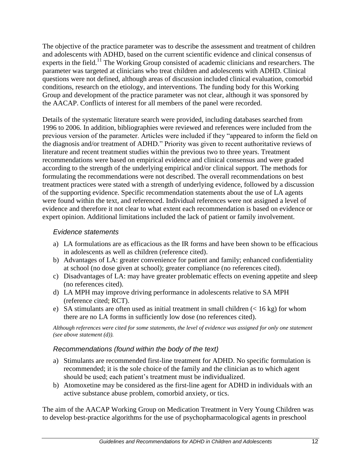The objective of the practice parameter was to describe the assessment and treatment of children and adolescents with ADHD, based on the current scientific evidence and clinical consensus of experts in the field.<sup>11</sup> The Working Group consisted of academic clinicians and researchers. The parameter was targeted at clinicians who treat children and adolescents with ADHD. Clinical questions were not defined, although areas of discussion included clinical evaluation, comorbid conditions, research on the etiology, and interventions. The funding body for this Working Group and development of the practice parameter was not clear, although it was sponsored by the AACAP. Conflicts of interest for all members of the panel were recorded.

Details of the systematic literature search were provided, including databases searched from 1996 to 2006. In addition, bibliographies were reviewed and references were included from the previous version of the parameter. Articles were included if they "appeared to inform the field on the diagnosis and/or treatment of ADHD." Priority was given to recent authoritative reviews of literature and recent treatment studies within the previous two to three years. Treatment recommendations were based on empirical evidence and clinical consensus and were graded according to the strength of the underlying empirical and/or clinical support. The methods for formulating the recommendations were not described. The overall recommendations on best treatment practices were stated with a strength of underlying evidence, followed by a discussion of the supporting evidence. Specific recommendation statements about the use of LA agents were found within the text, and referenced. Individual references were not assigned a level of evidence and therefore it not clear to what extent each recommendation is based on evidence or expert opinion. Additional limitations included the lack of patient or family involvement.

#### *Evidence statements*

- a) LA formulations are as efficacious as the IR forms and have been shown to be efficacious in adolescents as well as children (reference cited).
- b) Advantages of LA: greater convenience for patient and family; enhanced confidentiality at school (no dose given at school); greater compliance (no references cited).
- c) Disadvantages of LA: may have greater problematic effects on evening appetite and sleep (no references cited).
- d) LA MPH may improve driving performance in adolescents relative to SA MPH (reference cited; RCT).
- e) SA stimulants are often used as initial treatment in small children  $(< 16 \text{ kg})$  for whom there are no LA forms in sufficiently low dose (no references cited).

*Although references were cited for some statements, the level of evidence was assigned for only one statement (see above statement (d)).* 

#### *Recommendations (found within the body of the text)*

- a) Stimulants are recommended first-line treatment for ADHD. No specific formulation is recommended; it is the sole choice of the family and the clinician as to which agent should be used; each patient's treatment must be individualized.
- b) Atomoxetine may be considered as the first-line agent for ADHD in individuals with an active substance abuse problem, comorbid anxiety, or tics.

The aim of the AACAP Working Group on Medication Treatment in Very Young Children was to develop best-practice algorithms for the use of psychopharmacological agents in preschool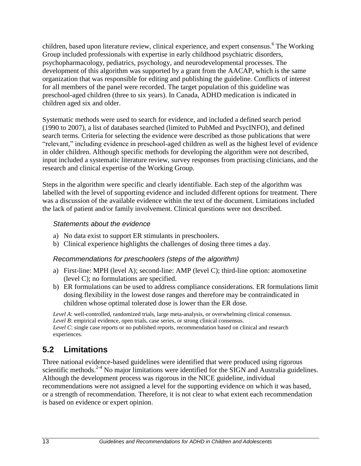children, based upon literature review, clinical experience, and expert consensus. 6 The Working Group included professionals with expertise in early childhood psychiatric disorders, psychopharmacology, pediatrics, psychology, and neurodevelopmental processes. The development of this algorithm was supported by a grant from the AACAP, which is the same organization that was responsible for editing and publishing the guideline. Conflicts of interest for all members of the panel were recorded. The target population of this guideline was preschool-aged children (three to six years). In Canada, ADHD medication is indicated in children aged six and older.

Systematic methods were used to search for evidence, and included a defined search period (1990 to 2007), a list of databases searched (limited to PubMed and PsycINFO), and defined search terms. Criteria for selecting the evidence were described as those publications that were "relevant," including evidence in preschool-aged children as well as the highest level of evidence in older children. Although specific methods for developing the algorithm were not described, input included a systematic literature review, survey responses from practising clinicians, and the research and clinical expertise of the Working Group.

Steps in the algorithm were specific and clearly identifiable. Each step of the algorithm was labelled with the level of supporting evidence and included different options for treatment. There was a discussion of the available evidence within the text of the document. Limitations included the lack of patient and/or family involvement. Clinical questions were not described.

#### *Statements about the evidence*

- a) No data exist to support ER stimulants in preschoolers.
- b) Clinical experience highlights the challenges of dosing three times a day.

#### *Recommendations for preschoolers (steps of the algorithm)*

- a) First-line: MPH (level A); second-line: AMP (level C); third-line option: atomoxetine (level C); no formulations are specified.
- b) ER formulations can be used to address compliance considerations. ER formulations limit dosing flexibility in the lowest dose ranges and therefore may be contraindicated in children whose optimal tolerated dose is lower than the ER dose.

*Level A*: well-controlled, randomized trials, large meta-analysis, or overwhelming clinical consensus. *Level B*: empirical evidence, open trials, case series, or strong clinical consensus. *Level C*: single case reports or no published reports, recommendation based on clinical and research experiences.

### <span id="page-17-0"></span>**5.2 Limitations**

Three national evidence-based guidelines were identified that were produced using rigorous scientific methods.<sup>2-4</sup> No major limitations were identified for the SIGN and Australia guidelines. Although the development process was rigorous in the NICE guideline, individual recommendations were not assigned a level for the supporting evidence on which it was based, or a strength of recommendation. Therefore, it is not clear to what extent each recommendation is based on evidence or expert opinion.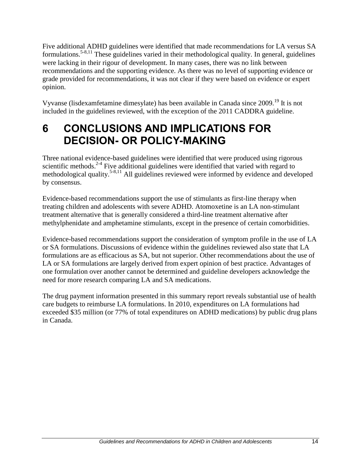Five additional ADHD guidelines were identified that made recommendations for LA versus SA formulations.5-8,11 These guidelines varied in their methodological quality. In general, guidelines were lacking in their rigour of development. In many cases, there was no link between recommendations and the supporting evidence. As there was no level of supporting evidence or grade provided for recommendations, it was not clear if they were based on evidence or expert opinion.

Vyvanse (lisdexamfetamine dimesylate) has been available in Canada since 2009.<sup>19</sup> It is not included in the guidelines reviewed, with the exception of the 2011 CADDRA guideline.

## **6 CONCLUSIONS AND IMPLICATIONS FOR DECISION- OR POLICY-MAKING**

Three national evidence-based guidelines were identified that were produced using rigorous scientific methods.<sup>2-4</sup> Five additional guidelines were identified that varied with regard to methodological quality.<sup>5-8,11</sup> All guidelines reviewed were informed by evidence and developed by consensus.

Evidence-based recommendations support the use of stimulants as first-line therapy when treating children and adolescents with severe ADHD. Atomoxetine is an LA non-stimulant treatment alternative that is generally considered a third-line treatment alternative after methylphenidate and amphetamine stimulants, except in the presence of certain comorbidities.

Evidence-based recommendations support the consideration of symptom profile in the use of LA or SA formulations. Discussions of evidence within the guidelines reviewed also state that LA formulations are as efficacious as SA, but not superior. Other recommendations about the use of LA or SA formulations are largely derived from expert opinion of best practice. Advantages of one formulation over another cannot be determined and guideline developers acknowledge the need for more research comparing LA and SA medications.

The drug payment information presented in this summary report reveals substantial use of health care budgets to reimburse LA formulations. In 2010, expenditures on LA formulations had exceeded \$35 million (or 77% of total expenditures on ADHD medications) by public drug plans in Canada.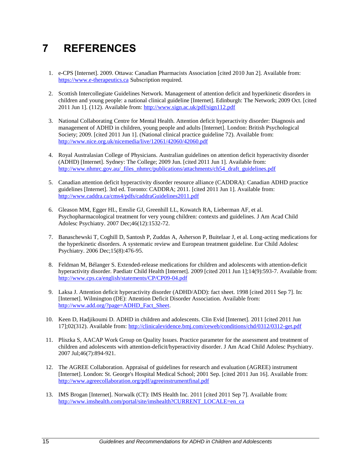## **7 REFERENCES**

- 1. e-CPS [Internet]. 2009. Ottawa: Canadian Pharmacists Association [cited 2010 Jun 2]. Available from: [https://www.e-therapeutics.ca](https://www.e-therapeutics.ca/) Subscription required.
- 2. Scottish Intercollegiate Guidelines Network. Management of attention deficit and hyperkinetic disorders in children and young people: a national clinical guideline [Internet]. Edinburgh: The Network; 2009 Oct. [cited 2011 Jun 1]. (112). Available from:<http://www.sign.ac.uk/pdf/sign112.pdf>
- 3. National Collaborating Centre for Mental Health. Attention deficit hyperactivity disorder: Diagnosis and management of ADHD in children, young people and adults [Internet]. London: British Psychological Society; 2009. [cited 2011 Jun 1]. (National clinical practice guideline 72). Available from: <http://www.nice.org.uk/nicemedia/live/12061/42060/42060.pdf>
- 4. Royal Australasian College of Physicians. Australian guidelines on attention deficit hyperactivity disorder (ADHD) [Internet]. Sydney: The College; 2009 Jun. [cited 2011 Jun 1]. Available from: [http://www.nhmrc.gov.au/\\_files\\_nhmrc/publications/attachments/ch54\\_draft\\_guidelines.pdf](http://www.nhmrc.gov.au/_files_nhmrc/publications/attachments/ch54_draft_guidelines.pdf)
- 5. Canadian attention deficit hyperactivity disorder resource alliance (CADDRA): Canadian ADHD practice guidelines [Internet]. 3rd ed. Toronto: CADDRA; 2011. [cited 2011 Jun 1]. Available from: <http://www.caddra.ca/cms4/pdfs/caddraGuidelines2011.pdf>
- 6. Gleason MM, Egger HL, Emslie GJ, Greenhill LL, Kowatch RA, Lieberman AF, et al. Psychopharmacological treatment for very young children: contexts and guidelines. J Am Acad Child Adolesc Psychiatry. 2007 Dec;46(12):1532-72.
- 7. Banaschewski T, Coghill D, Santosh P, Zuddas A, Asherson P, Buitelaar J, et al. Long-acting medications for the hyperkinetic disorders. A systematic review and European treatment guideline. Eur Child Adolesc Psychiatry. 2006 Dec;15(8):476-95.
- 8. Feldman M, Bélanger S. Extended-release medications for children and adolescents with attention-deficit hyperactivity disorder. Paediatr Child Health [Internet]. 2009 [cited 2011 Jun 1];14(9):593-7. Available from: <http://www.cps.ca/english/statements/CP/CP09-04.pdf>
- 9. Laksa J. Attention deficit hyperactivity disorder (ADHD/ADD): fact sheet. 1998 [cited 2011 Sep 7]. In: [Internet]. Wilmington (DE): Attention Deficit Disorder Association. Available from: [http://www.add.org/?page=ADHD\\_Fact\\_Sheet.](http://www.add.org/?page=ADHD_Fact_Sheet)
- 10. Keen D, Hadjikoumi D. ADHD in children and adolescents. Clin Evid [Internet]. 2011 [cited 2011 Jun 17];02(312). Available from:<http://clinicalevidence.bmj.com/ceweb/conditions/chd/0312/0312-get.pdf>
- 11. Pliszka S, AACAP Work Group on Quality Issues. Practice parameter for the assessment and treatment of children and adolescents with attention-deficit/hyperactivity disorder. J Am Acad Child Adolesc Psychiatry. 2007 Jul;46(7):894-921.
- 12. The AGREE Collaboration. Appraisal of guidelines for research and evaluation (AGREE) instrument [Internet]. London: St. George's Hospital Medical School; 2001 Sep. [cited 2011 Jun 16]. Available from: <http://www.agreecollaboration.org/pdf/agreeinstrumentfinal.pdf>
- 13. IMS Brogan [Internet]. Norwalk (CT): IMS Health Inc. 2011 [cited 2011 Sep 7]. Available from: [http://www.imshealth.com/portal/site/imshealth?CURRENT\\_LOCALE=en\\_ca](http://www.imshealth.com/portal/site/imshealth?CURRENT_LOCALE=en_ca)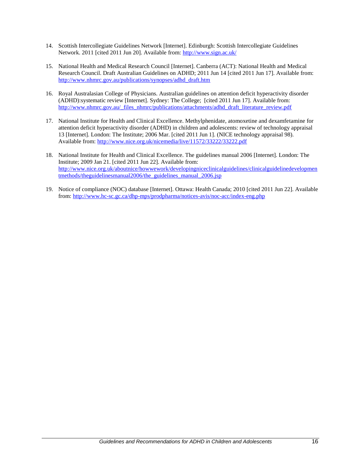- 14. Scottish Intercollegiate Guidelines Network [Internet]. Edinburgh: Scottish Intercollegiate Guidelines Network. 2011 [cited 2011 Jun 20]. Available from:<http://www.sign.ac.uk/>
- 15. National Health and Medical Research Council [Internet]. Canberra (ACT): National Health and Medical Research Council. Draft Australian Guidelines on ADHD; 2011 Jun 14 [cited 2011 Jun 17]. Available from: [http://www.nhmrc.gov.au/publications/synopses/adhd\\_draft.htm](http://www.nhmrc.gov.au/publications/synopses/adhd_draft.htm)
- 16. Royal Australasian College of Physicians. Australian guidelines on attention deficit hyperactivity disorder (ADHD):systematic review [Internet]. Sydney: The College; [cited 2011 Jun 17]. Available from: [http://www.nhmrc.gov.au/\\_files\\_nhmrc/publications/attachments/adhd\\_draft\\_literature\\_review.pdf](http://www.nhmrc.gov.au/_files_nhmrc/publications/attachments/adhd_draft_literature_review.pdf)
- 17. National Institute for Health and Clinical Excellence. Methylphenidate, atomoxetine and dexamfetamine for attention deficit hyperactivity disorder (ADHD) in children and adolescents: review of technology appraisal 13 [Internet]. London: The Institute; 2006 Mar. [cited 2011 Jun 1]. (NICE technology appraisal 98). Available from:<http://www.nice.org.uk/nicemedia/live/11572/33222/33222.pdf>
- 18. National Institute for Health and Clinical Excellence. The guidelines manual 2006 [Internet]. London: The Institute; 2009 Jan 21. [cited 2011 Jun 22]. Available from: [http://www.nice.org.uk/aboutnice/howwework/developingniceclinicalguidelines/clinicalguidelinedevelopmen](http://www.nice.org.uk/aboutnice/howwework/developingniceclinicalguidelines/clinicalguidelinedevelopmentmethods/theguidelinesmanual2006/the_guidelines_manual_2006.jsp) [tmethods/theguidelinesmanual2006/the\\_guidelines\\_manual\\_2006.jsp](http://www.nice.org.uk/aboutnice/howwework/developingniceclinicalguidelines/clinicalguidelinedevelopmentmethods/theguidelinesmanual2006/the_guidelines_manual_2006.jsp)
- 19. Notice of compliance (NOC) database [Internet]. Ottawa: Health Canada; 2010 [cited 2011 Jun 22]. Available from[: http://www.hc-sc.gc.ca/dhp-mps/prodpharma/notices-avis/noc-acc/index-eng.php](http://www.hc-sc.gc.ca/dhp-mps/prodpharma/notices-avis/noc-acc/index-eng.php)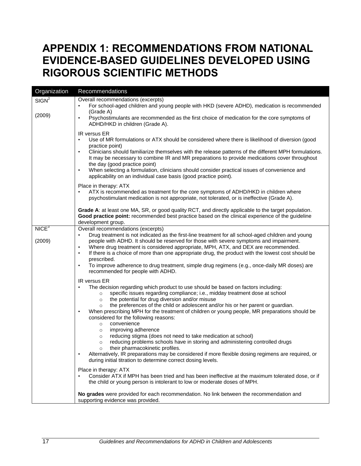## <span id="page-21-0"></span>**APPENDIX 1: RECOMMENDATIONS FROM NATIONAL EVIDENCE-BASED GUIDELINES DEVELOPED USING RIGOROUS SCIENTIFIC METHODS**

| Organization                | Recommendations                                                                                                                                                                                                                                                                                                                                                                                                                                                                                                                                                                                                                                                                                                                                                                                                                                                                                                                                                                                                                                                                                                                                                                                                                                                                                                                                                                                                                                                                                                                                                                                                                                                                                                                                                                                            |  |  |
|-----------------------------|------------------------------------------------------------------------------------------------------------------------------------------------------------------------------------------------------------------------------------------------------------------------------------------------------------------------------------------------------------------------------------------------------------------------------------------------------------------------------------------------------------------------------------------------------------------------------------------------------------------------------------------------------------------------------------------------------------------------------------------------------------------------------------------------------------------------------------------------------------------------------------------------------------------------------------------------------------------------------------------------------------------------------------------------------------------------------------------------------------------------------------------------------------------------------------------------------------------------------------------------------------------------------------------------------------------------------------------------------------------------------------------------------------------------------------------------------------------------------------------------------------------------------------------------------------------------------------------------------------------------------------------------------------------------------------------------------------------------------------------------------------------------------------------------------------|--|--|
| SIGN <sup>2</sup><br>(2009) | Overall recommendations (excerpts)<br>For school-aged children and young people with HKD (severe ADHD), medication is recommended<br>$\bullet$<br>(Grade A)<br>Psychostimulants are recommended as the first choice of medication for the core symptoms of<br>$\bullet$<br>ADHD/HKD in children (Grade A).                                                                                                                                                                                                                                                                                                                                                                                                                                                                                                                                                                                                                                                                                                                                                                                                                                                                                                                                                                                                                                                                                                                                                                                                                                                                                                                                                                                                                                                                                                 |  |  |
|                             | IR versus ER<br>Use of MR formulations or ATX should be considered where there is likelihood of diversion (good<br>$\bullet$<br>practice point)<br>Clinicians should familiarize themselves with the release patterns of the different MPH formulations.<br>$\bullet$<br>It may be necessary to combine IR and MR preparations to provide medications cover throughout<br>the day (good practice point)<br>When selecting a formulation, clinicians should consider practical issues of convenience and<br>applicability on an individual case basis (good practice point).                                                                                                                                                                                                                                                                                                                                                                                                                                                                                                                                                                                                                                                                                                                                                                                                                                                                                                                                                                                                                                                                                                                                                                                                                                |  |  |
|                             | Place in therapy: ATX<br>ATX is recommended as treatment for the core symptoms of ADHD/HKD in children where<br>psychostimulant medication is not appropriate, not tolerated, or is ineffective (Grade A).                                                                                                                                                                                                                                                                                                                                                                                                                                                                                                                                                                                                                                                                                                                                                                                                                                                                                                                                                                                                                                                                                                                                                                                                                                                                                                                                                                                                                                                                                                                                                                                                 |  |  |
|                             | Grade A: at least one MA, SR, or good quality RCT, and directly applicable to the target population.<br>Good practice point: recommended best practice based on the clinical experience of the guideline<br>development group.                                                                                                                                                                                                                                                                                                                                                                                                                                                                                                                                                                                                                                                                                                                                                                                                                                                                                                                                                                                                                                                                                                                                                                                                                                                                                                                                                                                                                                                                                                                                                                             |  |  |
| NICE <sup>3</sup><br>(2009) | Overall recommendations (excerpts)<br>Drug treatment is not indicated as the first-line treatment for all school-aged children and young<br>$\bullet$<br>people with ADHD. It should be reserved for those with severe symptoms and impairment.<br>Where drug treatment is considered appropriate, MPH, ATX, and DEX are recommended.<br>$\bullet$<br>If there is a choice of more than one appropriate drug, the product with the lowest cost should be<br>$\bullet$<br>prescribed.<br>To improve adherence to drug treatment, simple drug regimens (e.g., once-daily MR doses) are<br>$\bullet$<br>recommended for people with ADHD.<br>IR versus ER<br>The decision regarding which product to use should be based on factors including:<br>specific issues regarding compliance; i.e., midday treatment dose at school<br>$\circ$<br>the potential for drug diversion and/or misuse<br>$\circ$<br>the preferences of the child or adolescent and/or his or her parent or guardian.<br>$\circ$<br>When prescribing MPH for the treatment of children or young people, MR preparations should be<br>considered for the following reasons:<br>convenience<br>$\circ$<br>improving adherence<br>$\circ$<br>reducing stigma (does not need to take medication at school)<br>$\circ$<br>reducing problems schools have in storing and administering controlled drugs<br>$\circ$<br>their pharmacokinetic profiles.<br>$\circ$<br>Alternatively, IR preparations may be considered if more flexible dosing regimens are required, or<br>during initial titration to determine correct dosing levels.<br>Place in therapy: ATX<br>Consider ATX if MPH has been tried and has been ineffective at the maximum tolerated dose, or if<br>the child or young person is intolerant to low or moderate doses of MPH. |  |  |
|                             | No grades were provided for each recommendation. No link between the recommendation and<br>supporting evidence was provided.                                                                                                                                                                                                                                                                                                                                                                                                                                                                                                                                                                                                                                                                                                                                                                                                                                                                                                                                                                                                                                                                                                                                                                                                                                                                                                                                                                                                                                                                                                                                                                                                                                                                               |  |  |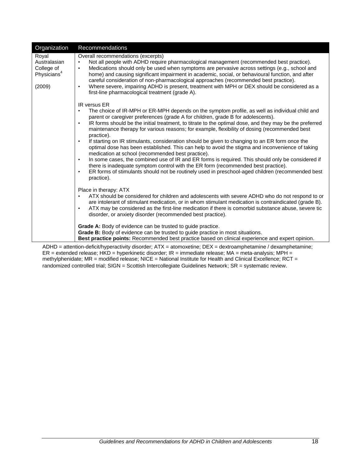| Organization                                                             | Recommendations                                                                                                                                                                                                                                                                                                                                                                                                                                                                                                                                                                                                                                                                                                                                                                                                                                                                                                                                                                                                                                                      |
|--------------------------------------------------------------------------|----------------------------------------------------------------------------------------------------------------------------------------------------------------------------------------------------------------------------------------------------------------------------------------------------------------------------------------------------------------------------------------------------------------------------------------------------------------------------------------------------------------------------------------------------------------------------------------------------------------------------------------------------------------------------------------------------------------------------------------------------------------------------------------------------------------------------------------------------------------------------------------------------------------------------------------------------------------------------------------------------------------------------------------------------------------------|
| Royal<br>Australasian<br>College of<br>Physicians <sup>4</sup><br>(2009) | Overall recommendations (excerpts)<br>Not all people with ADHD require pharmacological management (recommended best practice).<br>$\bullet$<br>Medications should only be used when symptoms are pervasive across settings (e.g., school and<br>$\bullet$<br>home) and causing significant impairment in academic, social, or behavioural function, and after<br>careful consideration of non-pharmacological approaches (recommended best practice).<br>Where severe, impairing ADHD is present, treatment with MPH or DEX should be considered as a<br>first-line pharmacological treatment (grade A).                                                                                                                                                                                                                                                                                                                                                                                                                                                             |
|                                                                          | IR versus ER<br>The choice of IR-MPH or ER-MPH depends on the symptom profile, as well as individual child and<br>$\bullet$<br>parent or caregiver preferences (grade A for children, grade B for adolescents).<br>IR forms should be the initial treatment, to titrate to the optimal dose, and they may be the preferred<br>$\bullet$<br>maintenance therapy for various reasons; for example, flexibility of dosing (recommended best<br>practice).<br>If starting on IR stimulants, consideration should be given to changing to an ER form once the<br>$\bullet$<br>optimal dose has been established. This can help to avoid the stigma and inconvenience of taking<br>medication at school (recommended best practice).<br>In some cases, the combined use of IR and ER forms is required. This should only be considered if<br>$\bullet$<br>there is inadequate symptom control with the ER form (recommended best practice).<br>ER forms of stimulants should not be routinely used in preschool-aged children (recommended best<br>$\bullet$<br>practice). |
|                                                                          | Place in therapy: ATX<br>ATX should be considered for children and adolescents with severe ADHD who do not respond to or<br>$\bullet$<br>are intolerant of stimulant medication, or in whom stimulant medication is contraindicated (grade B).<br>ATX may be considered as the first-line medication if there is comorbid substance abuse, severe tic<br>$\bullet$<br>disorder, or anxiety disorder (recommended best practice).                                                                                                                                                                                                                                                                                                                                                                                                                                                                                                                                                                                                                                     |
|                                                                          | <b>Grade A:</b> Body of evidence can be trusted to guide practice.<br><b>Grade B:</b> Body of evidence can be trusted to guide practice in most situations.<br>Best practice points: Recommended best practice based on clinical experience and expert opinion.                                                                                                                                                                                                                                                                                                                                                                                                                                                                                                                                                                                                                                                                                                                                                                                                      |

ADHD = attention-deficit/hyperactivity disorder; ATX = atomoxetine; DEX = dextroamphetamine / dexamphetamine; ER = extended release; HKD = hyperkinetic disorder; IR = immediate release; MA = meta-analysis; MPH = methylphenidate; MR = modified release; NICE = National Institute for Health and Clinical Excellence; RCT = randomized controlled trial; SIGN = Scottish Intercollegiate Guidelines Network; SR = systematic review.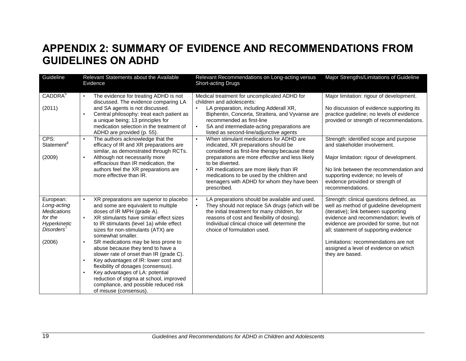## **APPENDIX 2: SUMMARY OF EVIDENCE AND RECOMMENDATIONS FROM GUIDELINES ON ADHD**

<span id="page-23-0"></span>

| Guideline                                                                                                     | Relevant Statements about the Available<br>Evidence                                                                                                                                                                                                                                                                                                                                                                                                                                                                                                                                                                                                          | Relevant Recommendations on Long-acting versus<br><b>Short-acting Drugs</b>                                                                                                                                                                                                                               | Major Strengths/Limitations of Guideline                                                                                                                                                                                                                                                                                                                      |
|---------------------------------------------------------------------------------------------------------------|--------------------------------------------------------------------------------------------------------------------------------------------------------------------------------------------------------------------------------------------------------------------------------------------------------------------------------------------------------------------------------------------------------------------------------------------------------------------------------------------------------------------------------------------------------------------------------------------------------------------------------------------------------------|-----------------------------------------------------------------------------------------------------------------------------------------------------------------------------------------------------------------------------------------------------------------------------------------------------------|---------------------------------------------------------------------------------------------------------------------------------------------------------------------------------------------------------------------------------------------------------------------------------------------------------------------------------------------------------------|
| CADDRA <sup>5</sup>                                                                                           | The evidence for treating ADHD is not<br>discussed. The evidence comparing LA                                                                                                                                                                                                                                                                                                                                                                                                                                                                                                                                                                                | Medical treatment for uncomplicated ADHD for<br>children and adolescents:                                                                                                                                                                                                                                 | Major limitation: rigour of development.                                                                                                                                                                                                                                                                                                                      |
| (2011)                                                                                                        | and SA agents is not discussed.<br>Central philosophy: treat each patient as<br>a unique being; 13 principles for<br>medication selection in the treatment of<br>ADHD are provided (p. 55).                                                                                                                                                                                                                                                                                                                                                                                                                                                                  | LA preparation, including Adderall XR,<br>Biphentin, Concerta, Strattera, and Vyvanse are<br>recommended as first-line<br>SA and intermediate-acting preparations are<br>$\bullet$<br>listed as second-line/adjunctive agents                                                                             | No discussion of evidence supporting its<br>practice guideline; no levels of evidence<br>provided or strength of recommendations.                                                                                                                                                                                                                             |
| CPS:<br>Statement <sup>8</sup>                                                                                | The authors acknowledge that the<br>$\bullet$<br>efficacy of IR and XR preparations are                                                                                                                                                                                                                                                                                                                                                                                                                                                                                                                                                                      | When stimulant medications for ADHD are<br>$\bullet$<br>indicated, XR preparations should be                                                                                                                                                                                                              | Strength: identified scope and purpose<br>and stakeholder involvement.                                                                                                                                                                                                                                                                                        |
| (2009)                                                                                                        | similar, as demonstrated through RCTs.<br>Although not necessarily more<br>$\bullet$<br>efficacious than IR medication, the<br>authors feel the XR preparations are<br>more <i>effective</i> than IR.                                                                                                                                                                                                                                                                                                                                                                                                                                                        | considered as first-line therapy because these<br>preparations are more effective and less likely<br>to be diverted.<br>XR medications are more likely than IR<br>$\bullet$<br>medications to be used by the children and<br>teenagers with ADHD for whom they have been<br>prescribed.                   | Major limitation: rigour of development.<br>No link between the recommendation and<br>supporting evidence; no levels of<br>evidence provided or strength of<br>recommendations.                                                                                                                                                                               |
| European:<br>Long-acting<br><b>Medications</b><br>for the<br>Hyperkinetic<br>Disorders <sup>7</sup><br>(2006) | XR preparations are superior to placebo<br>and some are equivalent to multiple<br>doses of IR MPH (grade A).<br>XR stimulants have similar effect sizes<br>to IR stimulants (level 1a) while effect<br>sizes for non-stimulants (ATX) are<br>somewhat smaller.<br>SR medications may be less prone to<br>$\bullet$<br>abuse because they tend to have a<br>slower rate of onset than IR (grade C).<br>Key advantages of IR: lower cost and<br>$\bullet$<br>flexibility of dosages (consensus).<br>Key advantages of LA: potential<br>$\bullet$<br>reduction of stigma at school, improved<br>compliance, and possible reduced risk<br>of misuse (consensus). | LA preparations should be available and used.<br>$\bullet$<br>They should not replace SA drugs (which will be<br>$\bullet$<br>the initial treatment for many children, for<br>reasons of cost and flexibility of dosing).<br>Individual clinical choice will determine the<br>choice of formulation used. | Strength: clinical questions defined, as<br>well as method of guideline development<br>(iterative); link between supporting<br>evidence and recommendation; levels of<br>evidence are provided for some, but not<br>all; statement of supporting evidence<br>Limitations: recommendations are not<br>assigned a level of evidence on which<br>they are based. |